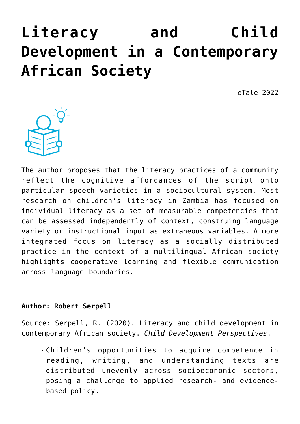# **[Literacy and Child](https://dev.taleafrica.com/2021/12/28/task-focused-behaviour-and-literacy-development-a-reciprocal-relationship-3/) [Development in a Contemporary](https://dev.taleafrica.com/2021/12/28/task-focused-behaviour-and-literacy-development-a-reciprocal-relationship-3/) [African Society](https://dev.taleafrica.com/2021/12/28/task-focused-behaviour-and-literacy-development-a-reciprocal-relationship-3/)**

eTale 2022



The author proposes that the literacy practices of a community reflect the cognitive affordances of the script onto particular speech varieties in a sociocultural system. Most research on children's literacy in Zambia has focused on individual literacy as a set of measurable competencies that can be assessed independently of context, construing language variety or instructional input as extraneous variables. A more integrated focus on literacy as a socially distributed practice in the context of a multilingual African society highlights cooperative learning and flexible communication across language boundaries.

## **Author: Robert Serpell**

Source: Serpell, R. (2020). Literacy and child development in contemporary African society. *Child Development Perspectives*.

Children's opportunities to acquire competence in reading, writing, and understanding texts are distributed unevenly across socioeconomic sectors, posing a challenge to applied research- and evidencebased policy.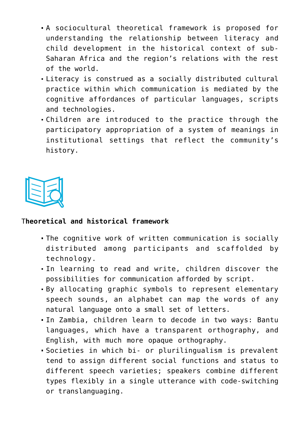- A sociocultural theoretical framework is proposed for understanding the relationship between literacy and child development in the historical context of sub-Saharan Africa and the region's relations with the rest of the world.
- Literacy is construed as a socially distributed cultural practice within which communication is mediated by the cognitive affordances of particular languages, scripts and technologies.
- Children are introduced to the practice through the participatory appropriation of a system of meanings in institutional settings that reflect the community's history.



# T**heoretical and historical framework**

- The cognitive work of written communication is socially distributed among participants and scaffolded by technology.
- In learning to read and write, children discover the possibilities for communication afforded by script.
- By allocating graphic symbols to represent elementary speech sounds, an alphabet can map the words of any natural language onto a small set of letters.
- In Zambia, children learn to decode in two ways: Bantu languages, which have a transparent orthography, and English, with much more opaque orthography.
- Societies in which bi- or plurilingualism is prevalent tend to assign different social functions and status to different speech varieties; speakers combine different types flexibly in a single utterance with code-switching or translanguaging.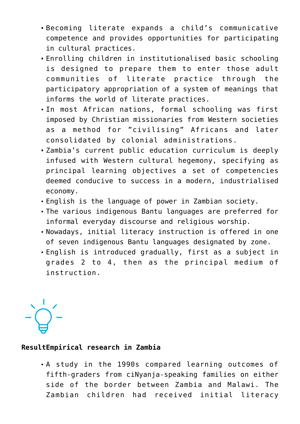- Becoming literate expands a child's communicative competence and provides opportunities for participating in cultural practices.
- Enrolling children in institutionalised basic schooling is designed to prepare them to enter those adult communities of literate practice through the participatory appropriation of a system of meanings that informs the world of literate practices.
- In most African nations, formal schooling was first imposed by Christian missionaries from Western societies as a method for "civilising" Africans and later consolidated by colonial administrations.
- Zambia's current public education curriculum is deeply infused with Western cultural hegemony, specifying as principal learning objectives a set of competencies deemed conducive to success in a modern, industrialised economy.
- English is the language of power in Zambian society.
- The various indigenous Bantu languages are preferred for informal everyday discourse and religious worship.
- Nowadays, initial literacy instruction is offered in one of seven indigenous Bantu languages designated by zone.
- English is introduced gradually, first as a subject in grades 2 to 4, then as the principal medium of instruction.

### **ResultEmpirical research in Zambia**

A study in the 1990s compared learning outcomes of fifth-graders from ciNyanja-speaking families on either side of the border between Zambia and Malawi. The Zambian children had received initial literacy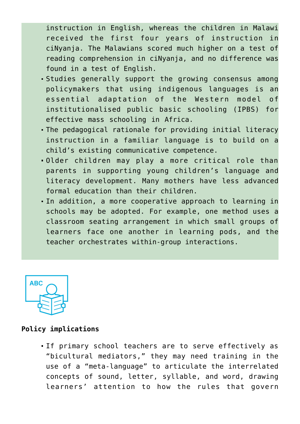instruction in English, whereas the children in Malawi received the first four years of instruction in ciNyanja. The Malawians scored much higher on a test of reading comprehension in ciNyanja, and no difference was found in a test of English.

- Studies generally support the growing consensus among policymakers that using indigenous languages is an essential adaptation of the Western model of institutionalised public basic schooling (IPBS) for effective mass schooling in Africa.
- The pedagogical rationale for providing initial literacy instruction in a familiar language is to build on a child's existing communicative competence.
- Older children may play a more critical role than parents in supporting young children's language and literacy development. Many mothers have less advanced formal education than their children.
- In addition, a more cooperative approach to learning in schools may be adopted. For example, one method uses a classroom seating arrangement in which small groups of learners face one another in learning pods, and the teacher orchestrates within-group interactions.



#### **Policy implications**

If primary school teachers are to serve effectively as "bicultural mediators," they may need training in the use of a "meta-language" to articulate the interrelated concepts of sound, letter, syllable, and word, drawing learners' attention to how the rules that govern